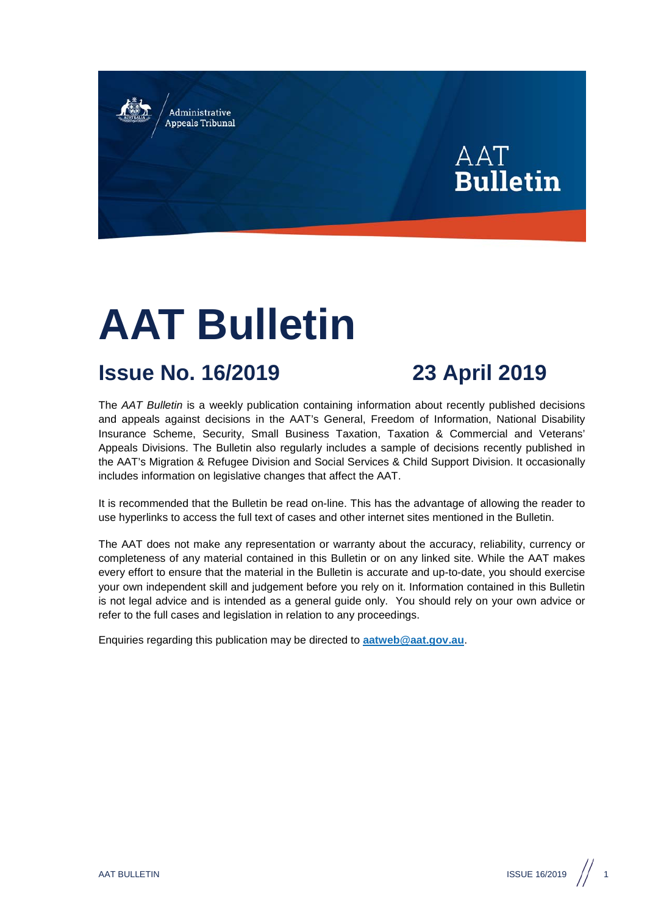Administrative **Appeals Tribunal** 



# **AAT Bulletin**

## **Issue No. 16/2019 23 April 2019**

The *AAT Bulletin* is a weekly publication containing information about recently published decisions and appeals against decisions in the AAT's General, Freedom of Information, National Disability Insurance Scheme, Security, Small Business Taxation, Taxation & Commercial and Veterans' Appeals Divisions. The Bulletin also regularly includes a sample of decisions recently published in the AAT's Migration & Refugee Division and Social Services & Child Support Division. It occasionally includes information on legislative changes that affect the AAT.

It is recommended that the Bulletin be read on-line. This has the advantage of allowing the reader to use hyperlinks to access the full text of cases and other internet sites mentioned in the Bulletin.

The AAT does not make any representation or warranty about the accuracy, reliability, currency or completeness of any material contained in this Bulletin or on any linked site. While the AAT makes every effort to ensure that the material in the Bulletin is accurate and up-to-date, you should exercise your own independent skill and judgement before you rely on it. Information contained in this Bulletin is not legal advice and is intended as a general guide only. You should rely on your own advice or refer to the full cases and legislation in relation to any proceedings.

Enquiries regarding this publication may be directed to **[aatweb@aat.gov.au](mailto:aatweb@aat.gov.au)**.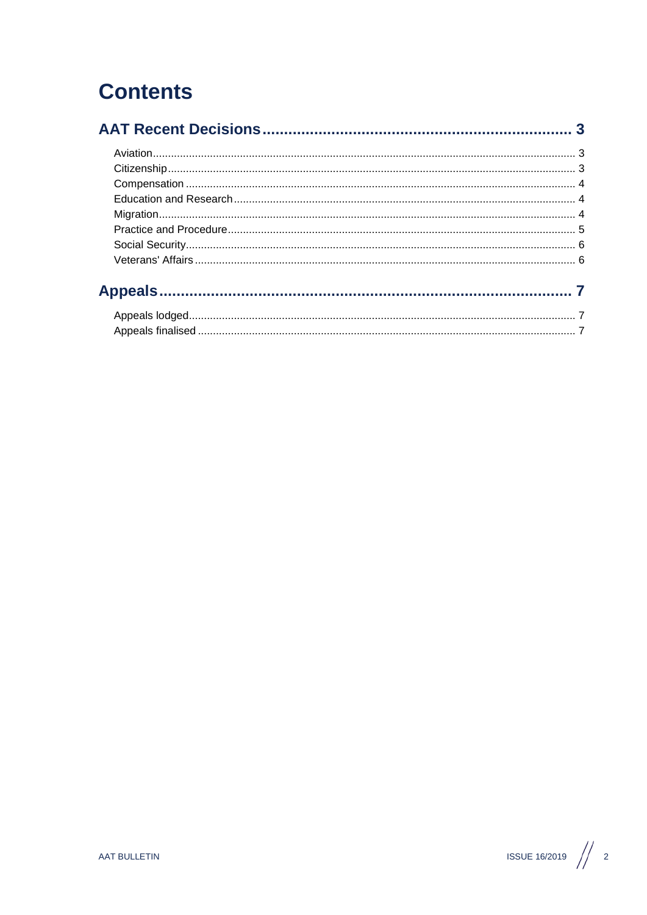## **Contents**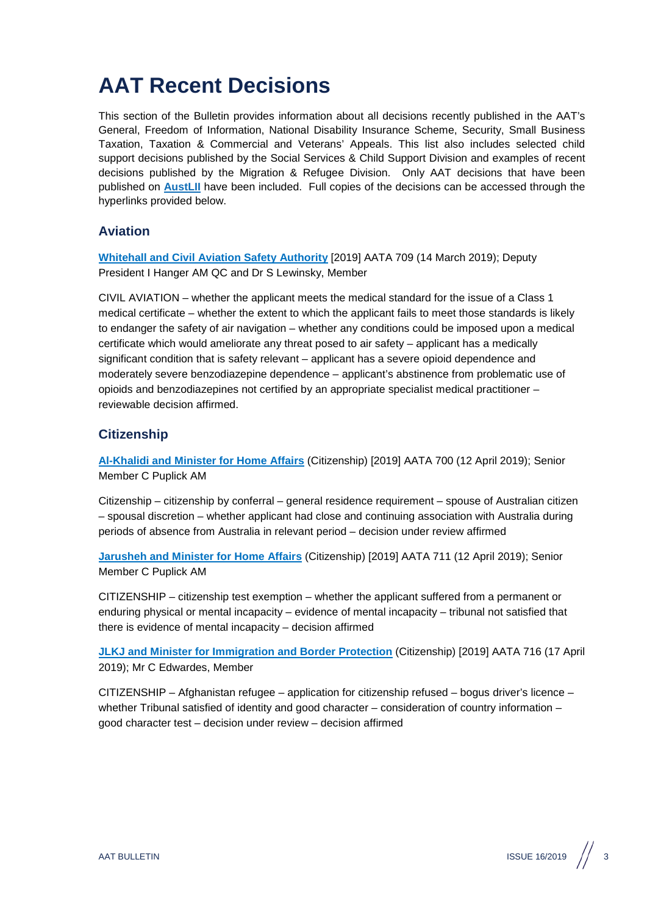## <span id="page-2-0"></span>**AAT Recent Decisions**

This section of the Bulletin provides information about all decisions recently published in the AAT's General, Freedom of Information, National Disability Insurance Scheme, Security, Small Business Taxation, Taxation & Commercial and Veterans' Appeals. This list also includes selected child support decisions published by the Social Services & Child Support Division and examples of recent decisions published by the Migration & Refugee Division. Only AAT decisions that have been published on **[AustLII](http://www.austlii.edu.au/au/cases/cth/aat/)** have been included. Full copies of the decisions can be accessed through the hyperlinks provided below.

#### <span id="page-2-1"></span>**Aviation**

**[Whitehall and Civil Aviation Safety Authority](http://www.austlii.edu.au/cgi-bin/viewdoc/au/cases/cth/AATA/2019/709.html?context=1;query=Whitehall%20and%20Civil%20Aviation;mask_path=au/cases/cth/AATA)** [2019] AATA 709 (14 March 2019); Deputy President I Hanger AM QC and Dr S Lewinsky, Member

CIVIL AVIATION – whether the applicant meets the medical standard for the issue of a Class 1 medical certificate – whether the extent to which the applicant fails to meet those standards is likely to endanger the safety of air navigation – whether any conditions could be imposed upon a medical certificate which would ameliorate any threat posed to air safety – applicant has a medically significant condition that is safety relevant – applicant has a severe opioid dependence and moderately severe benzodiazepine dependence – applicant's abstinence from problematic use of opioids and benzodiazepines not certified by an appropriate specialist medical practitioner – reviewable decision affirmed.

### <span id="page-2-2"></span>**Citizenship**

**[Al-Khalidi and Minister for Home Affairs](http://www.austlii.edu.au/cgi-bin/viewdoc/au/cases/cth/AATA/2019/700.html?context=1;query=Al-Khalidi%20and%20Minister%20for%20Home%20Affairs;mask_path=au/cases/cth/AATA)** (Citizenship) [2019] AATA 700 (12 April 2019); Senior Member C Puplick AM

Citizenship – citizenship by conferral – general residence requirement – spouse of Australian citizen – spousal discretion – whether applicant had close and continuing association with Australia during periods of absence from Australia in relevant period – decision under review affirmed

**[Jarusheh and Minister for Home Affairs](http://www.austlii.edu.au/cgi-bin/viewdoc/au/cases/cth/AATA/2019/711.html?context=1;query=Jarusheh%20and%20Minister%20for%20Home%20Affairs%20;mask_path=au/cases/cth/AATA)** (Citizenship) [2019] AATA 711 (12 April 2019); Senior Member C Puplick AM

CITIZENSHIP – citizenship test exemption – whether the applicant suffered from a permanent or enduring physical or mental incapacity – evidence of mental incapacity – tribunal not satisfied that there is evidence of mental incapacity – decision affirmed

**[JLKJ and Minister for Immigration and Border Protection](http://www.austlii.edu.au/cgi-bin/viewdoc/au/cases/cth/AATA/2019/716.html?context=1;query=JLKJ%20and%20Minister%20for%20Immigration%20and%20Border%20Protection%20;mask_path=au/cases/cth/AATA)** (Citizenship) [2019] AATA 716 (17 April 2019); Mr C Edwardes, Member

CITIZENSHIP – Afghanistan refugee – application for citizenship refused – bogus driver's licence – whether Tribunal satisfied of identity and good character – consideration of country information – good character test – decision under review – decision affirmed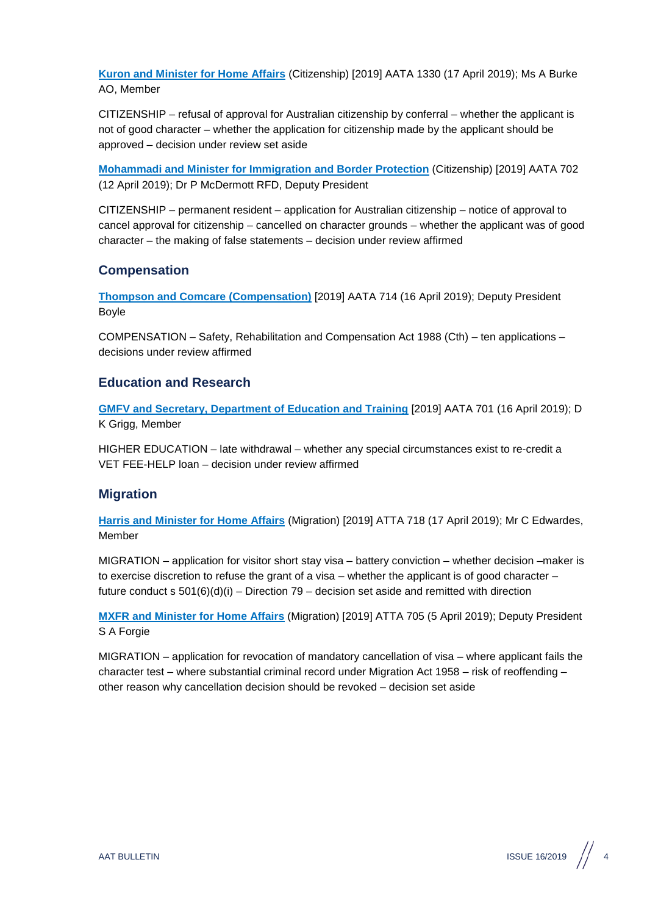**[Kuron and Minister for Home Affairs](http://www.austlii.edu.au/cgi-bin/viewdoc/au/cases/cth/AATA/2018/1330.html?context=1;query=Kuron%20and%20Minister%20for%20Home%20Affairs%20;mask_path=au/cases/cth/AATA)** (Citizenship) [2019] AATA 1330 (17 April 2019); Ms A Burke AO, Member

CITIZENSHIP – refusal of approval for Australian citizenship by conferral – whether the applicant is not of good character – whether the application for citizenship made by the applicant should be approved – decision under review set aside

**[Mohammadi and Minister for Immigration and Border Protection](http://www.austlii.edu.au/cgi-bin/viewdoc/au/cases/cth/AATA/2019/702.html?context=1;query=Mohammadi%20and%20Minister%20for%20Immigration%20and%20Border%20Protection%20;mask_path=au/cases/cth/AATA)** (Citizenship) [2019] AATA 702 (12 April 2019); Dr P McDermott RFD, Deputy President

CITIZENSHIP – permanent resident – application for Australian citizenship – notice of approval to cancel approval for citizenship – cancelled on character grounds – whether the applicant was of good character – the making of false statements – decision under review affirmed

#### <span id="page-3-0"></span>**Compensation**

**[Thompson and Comcare \(Compensation\)](http://www.austlii.edu.au/cgi-bin/viewdoc/au/cases/cth/AATA/2019/714.html?context=1;query=Thompson%20and%20Comcare%20(Compensation);mask_path=au/cases/cth/AATA)** [2019] AATA 714 (16 April 2019); Deputy President Boyle

COMPENSATION – Safety, Rehabilitation and Compensation Act 1988 (Cth) – ten applications – decisions under review affirmed

#### <span id="page-3-1"></span>**Education and Research**

**[GMFV and Secretary, Department of Education and Training](http://www.austlii.edu.au/cgi-bin/viewdoc/au/cases/cth/AATA/2019/701.html?context=1;query=GMFV%20and%20Secretary,%20Department%20of%20Education%20and%20Training%20;mask_path=au/cases/cth/AATA)** [2019] AATA 701 (16 April 2019); D K Grigg, Member

HIGHER EDUCATION – late withdrawal – whether any special circumstances exist to re-credit a VET FEE-HELP loan – decision under review affirmed

#### <span id="page-3-2"></span>**Migration**

**[Harris and Minister for Home Affairs](http://www.austlii.edu.au/cgi-bin/viewdoc/au/cases/cth/AATA/2019/718.html?context=1;query=Harris%20and%20Minister%20for%20Home%20Affairs;mask_path=au/cases/cth/AATA)** (Migration) [2019] ATTA 718 (17 April 2019); Mr C Edwardes, Member

MIGRATION – application for visitor short stay visa – battery conviction – whether decision –maker is to exercise discretion to refuse the grant of a visa – whether the applicant is of good character – future conduct s  $501(6)(d)(i)$  – Direction 79 – decision set aside and remitted with direction

**[MXFR and Minister for Home Affairs](http://www.austlii.edu.au/cgi-bin/viewdoc/au/cases/cth/AATA/2019/705.html?context=1;query=MXFR%20and%20Minister%20for%20Home%20Affairs%20;mask_path=au/cases/cth/AATA)** (Migration) [2019] ATTA 705 (5 April 2019); Deputy President S A Forgie

MIGRATION – application for revocation of mandatory cancellation of visa – where applicant fails the character test – where substantial criminal record under Migration Act 1958 – risk of reoffending – other reason why cancellation decision should be revoked – decision set aside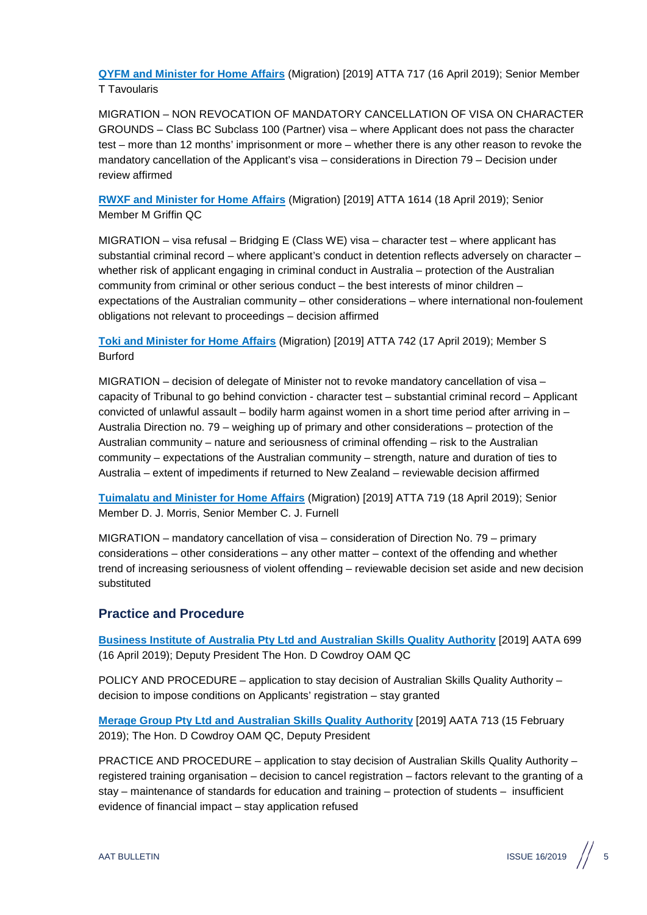**[QYFM and Minister for Home Affairs](http://www.austlii.edu.au/cgi-bin/viewdoc/au/cases/cth/AATA/2019/717.html?context=1;query=QYFM%20and%20Minister%20for%20Home%20Affairs%20;mask_path=au/cases/cth/AATA)** (Migration) [2019] ATTA 717 (16 April 2019); Senior Member T Tavoularis

MIGRATION – NON REVOCATION OF MANDATORY CANCELLATION OF VISA ON CHARACTER GROUNDS – Class BC Subclass 100 (Partner) visa – where Applicant does not pass the character test – more than 12 months' imprisonment or more – whether there is any other reason to revoke the mandatory cancellation of the Applicant's visa – considerations in Direction 79 – Decision under review affirmed

**[RWXF and Minister for Home Affairs](http://www.austlii.edu.au/cgi-bin/viewdoc/au/cases/cth/AATA/2017/1614.html?context=1;query=RWXF%20and%20Minister%20for%20Immigration%20and%20Border%20Protection;mask_path=au/cases/cth/AATA)** (Migration) [2019] ATTA 1614 (18 April 2019); Senior Member M Griffin QC

MIGRATION – visa refusal – Bridging E (Class WE) visa – character test – where applicant has substantial criminal record – where applicant's conduct in detention reflects adversely on character – whether risk of applicant engaging in criminal conduct in Australia – protection of the Australian community from criminal or other serious conduct – the best interests of minor children – expectations of the Australian community – other considerations – where international non-foulement obligations not relevant to proceedings – decision affirmed

**[Toki and Minister for Home Affairs](http://www.austlii.edu.au/cgi-bin/viewdoc/au/cases/cth/AATA/2019/742.html?context=1;query=Toki%20and%20Minister%20for%20Home%20Affairs%20;mask_path=au/cases/cth/AATA)** (Migration) [2019] ATTA 742 (17 April 2019); Member S Burford

MIGRATION – decision of delegate of Minister not to revoke mandatory cancellation of visa – capacity of Tribunal to go behind conviction - character test – substantial criminal record – Applicant convicted of unlawful assault – bodily harm against women in a short time period after arriving in – Australia Direction no. 79 – weighing up of primary and other considerations – protection of the Australian community – nature and seriousness of criminal offending – risk to the Australian community – expectations of the Australian community – strength, nature and duration of ties to Australia – extent of impediments if returned to New Zealand – reviewable decision affirmed

**[Tuimalatu and Minister for Home Affairs](http://www.austlii.edu.au/cgi-bin/viewdoc/au/cases/cth/AATA/2019/719.html?context=1;query=Tuimalatu%20and%20Minister%20for%20Home%20Affairs%20;mask_path=au/cases/cth/AATA)** (Migration) [2019] ATTA 719 (18 April 2019); Senior Member D. J. Morris, Senior Member C. J. Furnell

MIGRATION – mandatory cancellation of visa – consideration of Direction No. 79 – primary considerations – other considerations – any other matter – context of the offending and whether trend of increasing seriousness of violent offending – reviewable decision set aside and new decision substituted

#### <span id="page-4-0"></span>**Practice and Procedure**

**[Business Institute of Australia Pty Ltd and Australian Skills Quality Authority](http://www.austlii.edu.au/cgi-bin/viewdoc/au/cases/cth/AATA/2019/699.html?context=1;query=Business%20Institute%20of%20Australia%20Pty%20Ltd%20and%20Australian%20Skills%20Quality%20Authority%20;mask_path=au/cases/cth/AATA)** [2019] AATA 699 (16 April 2019); Deputy President The Hon. D Cowdroy OAM QC

POLICY AND PROCEDURE – application to stay decision of Australian Skills Quality Authority – decision to impose conditions on Applicants' registration – stay granted

**[Merage Group Pty Ltd and Australian Skills Quality Authority](http://www.austlii.edu.au/cgi-bin/viewdoc/au/cases/cth/AATA/2019/713.html?context=1;query=Merage%20Group%20Pty%20Ltd%20and%20Australian%20Skills%20Quality%20Authority%20;mask_path=au/cases/cth/AATA)** [2019] AATA 713 (15 February 2019); The Hon. D Cowdroy OAM QC, Deputy President

PRACTICE AND PROCEDURE – application to stay decision of Australian Skills Quality Authority – registered training organisation – decision to cancel registration – factors relevant to the granting of a stay – maintenance of standards for education and training – protection of students – insufficient evidence of financial impact – stay application refused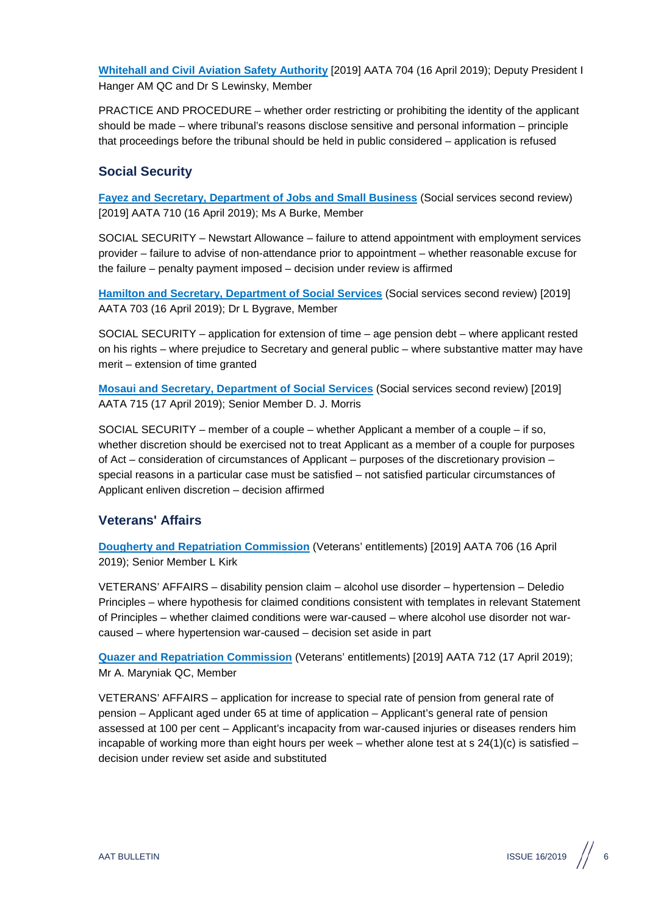**[Whitehall and Civil Aviation Safety Authority](http://www.austlii.edu.au/cgi-bin/viewdoc/au/cases/cth/AATA/2019/704.html?context=1;query=Whitehall%20and%20Civil%20Aviation%20;mask_path=au/cases/cth/AATA)** [2019] AATA 704 (16 April 2019); Deputy President I Hanger AM QC and Dr S Lewinsky, Member

PRACTICE AND PROCEDURE – whether order restricting or prohibiting the identity of the applicant should be made – where tribunal's reasons disclose sensitive and personal information – principle that proceedings before the tribunal should be held in public considered – application is refused

#### <span id="page-5-0"></span>**Social Security**

**[Fayez and Secretary, Department of Jobs and Small Business](http://www.austlii.edu.au/cgi-bin/viewdoc/au/cases/cth/AATA/2019/710.html?context=1;query=Fayez%20and%20Secretary,%20Department%20of%20Jobs%20and%20Small%20Business%20;mask_path=au/cases/cth/AATA)** (Social services second review) [2019] AATA 710 (16 April 2019); Ms A Burke, Member

SOCIAL SECURITY – Newstart Allowance – failure to attend appointment with employment services provider – failure to advise of non-attendance prior to appointment – whether reasonable excuse for the failure – penalty payment imposed – decision under review is affirmed

**[Hamilton and Secretary, Department of Social Services](http://www.austlii.edu.au/cgi-bin/viewdoc/au/cases/cth/AATA/2019/703.html?context=1;query=Hamilton%20and%20Secretary,%20Department%20of%20Social%20Services%20;mask_path=au/cases/cth/AATA)** (Social services second review) [2019] AATA 703 (16 April 2019); Dr L Bygrave, Member

SOCIAL SECURITY – application for extension of time – age pension debt – where applicant rested on his rights – where prejudice to Secretary and general public – where substantive matter may have merit – extension of time granted

**[Mosaui and Secretary, Department of Social Services](http://www.austlii.edu.au/cgi-bin/viewdoc/au/cases/cth/AATA/2019/715.html?context=1;query=Mosaui%20and%20Secretary,%20Department%20of%20Social%20Services%20;mask_path=au/cases/cth/AATA)** (Social services second review) [2019] AATA 715 (17 April 2019); Senior Member D. J. Morris

SOCIAL SECURITY – member of a couple – whether Applicant a member of a couple – if so, whether discretion should be exercised not to treat Applicant as a member of a couple for purposes of Act – consideration of circumstances of Applicant – purposes of the discretionary provision – special reasons in a particular case must be satisfied – not satisfied particular circumstances of Applicant enliven discretion – decision affirmed

#### <span id="page-5-1"></span>**Veterans' Affairs**

**[Dougherty and Repatriation Commission](http://www.austlii.edu.au/cgi-bin/viewdoc/au/cases/cth/AATA/2019/706.html?context=1;query=Dougherty%20and%20Repatriation%20Commission%20;mask_path=au/cases/cth/AATA)** (Veterans' entitlements) [2019] AATA 706 (16 April 2019); Senior Member L Kirk

VETERANS' AFFAIRS – disability pension claim – alcohol use disorder – hypertension – Deledio Principles – where hypothesis for claimed conditions consistent with templates in relevant Statement of Principles – whether claimed conditions were war-caused – where alcohol use disorder not warcaused – where hypertension war-caused – decision set aside in part

**[Quazer and Repatriation Commission](http://www.austlii.edu.au/cgi-bin/viewdoc/au/cases/cth/AATA/2019/712.html?context=1;query=Quazer%20and%20Repatriation%20Commission%20;mask_path=au/cases/cth/AATA)** (Veterans' entitlements) [2019] AATA 712 (17 April 2019); Mr A. Maryniak QC, Member

VETERANS' AFFAIRS – application for increase to special rate of pension from general rate of pension – Applicant aged under 65 at time of application – Applicant's general rate of pension assessed at 100 per cent – Applicant's incapacity from war-caused injuries or diseases renders him incapable of working more than eight hours per week – whether alone test at s  $24(1)(c)$  is satisfied – decision under review set aside and substituted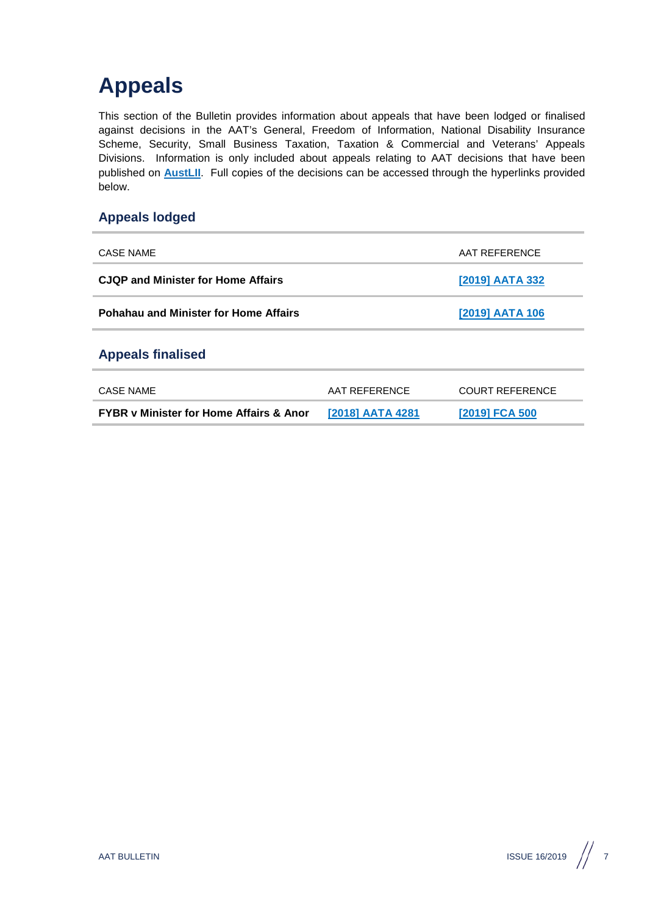## <span id="page-6-0"></span>**Appeals**

This section of the Bulletin provides information about appeals that have been lodged or finalised against decisions in the AAT's General, Freedom of Information, National Disability Insurance Scheme, Security, Small Business Taxation, Taxation & Commercial and Veterans' Appeals Divisions. Information is only included about appeals relating to AAT decisions that have been published on **[AustLII](http://www.austlii.edu.au/au/cases/cth/aat/)**. Full copies of the decisions can be accessed through the hyperlinks provided below.

### <span id="page-6-1"></span>**Appeals lodged**

<span id="page-6-2"></span>

| CASE NAME                                          |                  | AAT REFERENCE          |
|----------------------------------------------------|------------------|------------------------|
| <b>CJQP and Minister for Home Affairs</b>          |                  | [2019] AATA 332        |
| <b>Pohahau and Minister for Home Affairs</b>       |                  | <u>[2019] AATA 106</u> |
| <b>Appeals finalised</b>                           |                  |                        |
| CASE NAME                                          | AAT REFERENCE    | <b>COURT REFERENCE</b> |
| <b>FYBR v Minister for Home Affairs &amp; Anor</b> | [2018] AATA 4281 | [2019] FCA 500         |